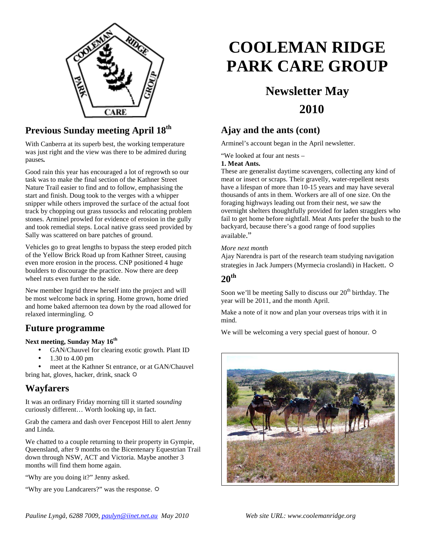

## **Previous Sunday meeting April 18th**

With Canberra at its superb best, the working temperature was just right and the view was there to be admired during pauses*.* 

Good rain this year has encouraged a lot of regrowth so our task was to make the final section of the Kathner Street Nature Trail easier to find and to follow, emphasising the start and finish. Doug took to the verges with a whipper snipper while others improved the surface of the actual foot track by chopping out grass tussocks and relocating problem stones. Arminel prowled for evidence of erosion in the gully and took remedial steps. Local native grass seed provided by Sally was scattered on bare patches of ground.

Vehicles go to great lengths to bypass the steep eroded pitch of the Yellow Brick Road up from Kathner Street, causing even more erosion in the process. CNP positioned 4 huge boulders to discourage the practice. Now there are deep wheel ruts even further to the side.

New member Ingrid threw herself into the project and will be most welcome back in spring. Home grown, home dried and home baked afternoon tea down by the road allowed for relaxed intermingling.  $\Phi$ 

### **Future programme**

#### **Next meeting, Sunday May 16th**

- GAN/Chauvel for clearing exotic growth. Plant ID
- 1.30 to 4.00 pm

meet at the Kathner St entrance, or at GAN/Chauvel bring hat, gloves, hacker, drink, snack  $\ddot{\varphi}$ 

## **Wayfarers**

It was an ordinary Friday morning till it started *sounding* curiously different… Worth looking up, in fact.

Grab the camera and dash over Fencepost Hill to alert Jenny and Linda.

We chatted to a couple returning to their property in Gympie, Queensland, after 9 months on the Bicentenary Equestrian Trail down through NSW, ACT and Victoria. Maybe another 3 months will find them home again.

"Why are you doing it?" Jenny asked.

"Why are you Landcarers?" was the response.

# **COOLEMAN RIDGE PARK CARE GROUP**

## **Newsletter May 2010**

## **Ajay and the ants (cont)**

Arminel's account began in the April newsletter.

"We looked at four ant nests –

#### **1. Meat Ants.**

These are generalist daytime scavengers, collecting any kind of meat or insect or scraps. Their gravelly, water-repellent nests have a lifespan of more than 10-15 years and may have several thousands of ants in them. Workers are all of one size. On the foraging highways leading out from their nest, we saw the overnight shelters thoughtfully provided for laden stragglers who fail to get home before nightfall. Meat Ants prefer the bush to the backyard, because there's a good range of food supplies available."

#### *More next month*

Ajay Narendra is part of the research team studying navigation strategies in Jack Jumpers (Myrmecia croslandi) in Hackett.

## **20th**

Soon we'll be meeting Sally to discuss our  $20<sup>th</sup>$  birthday. The year will be 2011, and the month April.

Make a note of it now and plan your overseas trips with it in mind.

We will be welcoming a very special guest of honour.  $\varphi$